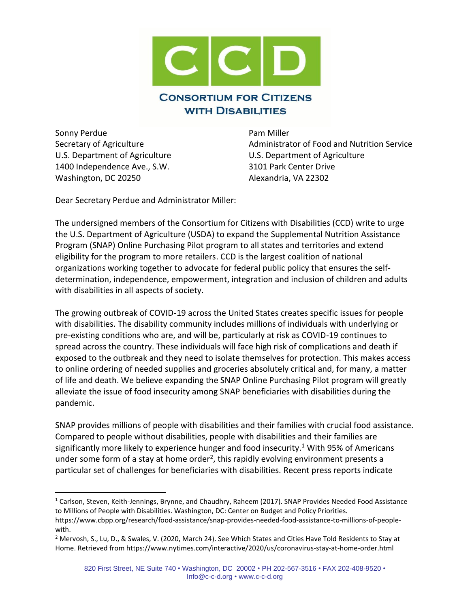

Sonny Perdue **Pam Miller** U.S. Department of Agriculture U.S. Department of Agriculture 1400 Independence Ave., S.W. 3101 Park Center Drive Washington, DC 20250 Alexandria, VA 22302

Secretary of Agriculture **Administrator of Food and Nutrition Service** Administrator of Food and Nutrition Service

Dear Secretary Perdue and Administrator Miller:

The undersigned members of the Consortium for Citizens with Disabilities (CCD) write to urge the U.S. Department of Agriculture (USDA) to expand the Supplemental Nutrition Assistance Program (SNAP) Online Purchasing Pilot program to all states and territories and extend eligibility for the program to more retailers. CCD is the largest coalition of national organizations working together to advocate for federal public policy that ensures the selfdetermination, independence, empowerment, integration and inclusion of children and adults with disabilities in all aspects of society.

The growing outbreak of COVID-19 across the United States creates specific issues for people with disabilities. The disability community includes millions of individuals with underlying or pre-existing conditions who are, and will be, particularly at risk as COVID-19 continues to spread across the country. These individuals will face high risk of complications and death if exposed to the outbreak and they need to isolate themselves for protection. This makes access to online ordering of needed supplies and groceries absolutely critical and, for many, a matter of life and death. We believe expanding the SNAP Online Purchasing Pilot program will greatly alleviate the issue of food insecurity among SNAP beneficiaries with disabilities during the pandemic.

SNAP provides millions of people with disabilities and their families with crucial food assistance. Compared to people without disabilities, people with disabilities and their families are significantly more likely to experience hunger and food insecurity.<sup>1</sup> With 95% of Americans under some form of a stay at home order<sup>2</sup>, this rapidly evolving environment presents a particular set of challenges for beneficiaries with disabilities. Recent press reports indicate

<sup>1</sup> Carlson, Steven, Keith-Jennings, Brynne, and Chaudhry, Raheem (2017). SNAP Provides Needed Food Assistance to Millions of People with Disabilities. Washington, DC: Center on Budget and Policy Priorities.

https://www.cbpp.org/research/food-assistance/snap-provides-needed-food-assistance-to-millions-of-peoplewith.

<sup>2</sup> Mervosh, S., Lu, D., & Swales, V. (2020, March 24). See Which States and Cities Have Told Residents to Stay at Home. Retrieved from https://www.nytimes.com/interactive/2020/us/coronavirus-stay-at-home-order.html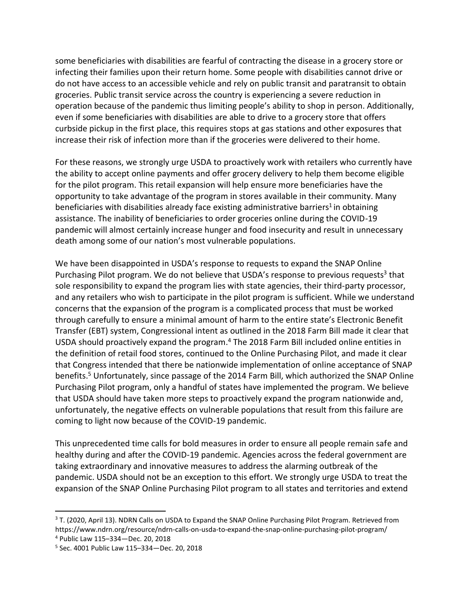some beneficiaries with disabilities are fearful of contracting the disease in a grocery store or infecting their families upon their return home. Some people with disabilities cannot drive or do not have access to an accessible vehicle and rely on public transit and paratransit to obtain groceries. Public transit service across the country is experiencing a severe reduction in operation because of the pandemic thus limiting people's ability to shop in person. Additionally, even if some beneficiaries with disabilities are able to drive to a grocery store that offers curbside pickup in the first place, this requires stops at gas stations and other exposures that increase their risk of infection more than if the groceries were delivered to their home.

For these reasons, we strongly urge USDA to proactively work with retailers who currently have the ability to accept online payments and offer grocery delivery to help them become eligible for the pilot program. This retail expansion will help ensure more beneficiaries have the opportunity to take advantage of the program in stores available in their community. Many beneficiaries with disabilities already face existing administrative barriers<sup>1</sup> in obtaining assistance. The inability of beneficiaries to order groceries online during the COVID-19 pandemic will almost certainly increase hunger and food insecurity and result in unnecessary death among some of our nation's most vulnerable populations.

We have been disappointed in USDA's response to requests to expand the SNAP Online Purchasing Pilot program. We do not believe that USDA's response to previous requests<sup>3</sup> that sole responsibility to expand the program lies with state agencies, their third-party processor, and any retailers who wish to participate in the pilot program is sufficient. While we understand concerns that the expansion of the program is a complicated process that must be worked through carefully to ensure a minimal amount of harm to the entire state's Electronic Benefit Transfer (EBT) system, Congressional intent as outlined in the 2018 Farm Bill made it clear that USDA should proactively expand the program. <sup>4</sup> The 2018 Farm Bill included online entities in the definition of retail food stores, continued to the Online Purchasing Pilot, and made it clear that Congress intended that there be nationwide implementation of online acceptance of SNAP benefits.<sup>5</sup> Unfortunately, since passage of the 2014 Farm Bill, which authorized the SNAP Online Purchasing Pilot program, only a handful of states have implemented the program. We believe that USDA should have taken more steps to proactively expand the program nationwide and, unfortunately, the negative effects on vulnerable populations that result from this failure are coming to light now because of the COVID-19 pandemic.

This unprecedented time calls for bold measures in order to ensure all people remain safe and healthy during and after the COVID-19 pandemic. Agencies across the federal government are taking extraordinary and innovative measures to address the alarming outbreak of the pandemic. USDA should not be an exception to this effort. We strongly urge USDA to treat the expansion of the SNAP Online Purchasing Pilot program to all states and territories and extend

<sup>&</sup>lt;sup>3</sup> T. (2020, April 13). NDRN Calls on USDA to Expand the SNAP Online Purchasing Pilot Program. Retrieved from https://www.ndrn.org/resource/ndrn-calls-on-usda-to-expand-the-snap-online-purchasing-pilot-program/ <sup>4</sup> Public Law 115–334—Dec. 20, 2018

<sup>5</sup> Sec. 4001 Public Law 115–334—Dec. 20, 2018